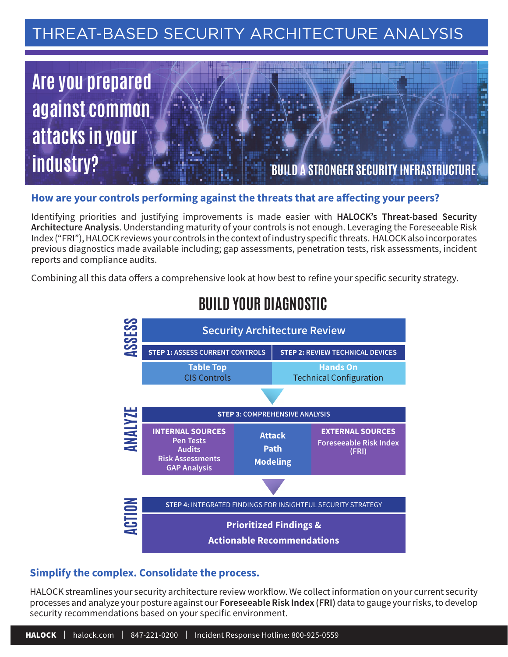# THREAT-BASED SECURITY ARCHITECTURE ANALYSIS



## How are your controls performing against the threats that are affecting your peers?

Identifying priorities and justifying improvements is made easier with **HALOCK's Threat-based Security Architecture Analysis**. Understanding maturity of your controls is not enough. Leveraging the Foreseeable Risk Index ("FRI"), HALOCK reviews your controls in the context of industry specific threats. HALOCK also incorporates previous diagnostics made available including; gap assessments, penetration tests, risk assessments, incident reports and compliance audits.

Combining all this data offers a comprehensive look at how best to refine your specific security strategy.



# **BUILD YOUR DIAGNOSTIC**

## **Simplify the complex. Consolidate the process.**

HALOCK streamlines your security architecture review workflow. We collect information on your current security processes and analyze your posture against our **Foreseeable Risk Index (FRI)** data to gauge your risks, to develop security recommendations based on your specific environment.